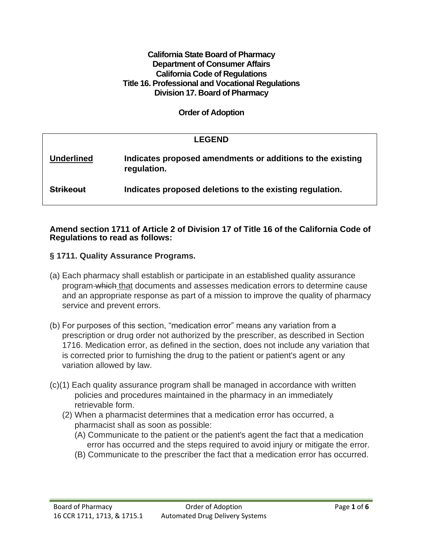#### **California State Board of Pharmacy Department of Consumer Affairs California Code of Regulations Title 16. Professional and Vocational Regulations Division 17. Board of Pharmacy**

**Order of Adoption**

|                   | <b>LEGEND</b>                                                             |
|-------------------|---------------------------------------------------------------------------|
| <b>Underlined</b> | Indicates proposed amendments or additions to the existing<br>regulation. |
| <b>Strikeout</b>  | Indicates proposed deletions to the existing regulation.                  |

#### **Amend section 1711 of Article 2 of Division 17 of Title 16 of the California Code of Regulations to read as follows:**

## **§ 1711. Quality Assurance Programs.**

- (a) Each pharmacy shall establish or participate in an established quality assurance program which that documents and assesses medication errors to determine cause and an appropriate response as part of a mission to improve the quality of pharmacy service and prevent errors.
- (b) For purposes of this section, "medication error" means any variation from a prescription or drug order not authorized by the prescriber, as described in Section 1716. Medication error, as defined in the section, does not include any variation that is corrected prior to furnishing the drug to the patient or patient's agent or any variation allowed by law.
- (c)(1) Each quality assurance program shall be managed in accordance with written policies and procedures maintained in the pharmacy in an immediately retrievable form.
	- (2) When a pharmacist determines that a medication error has occurred, a pharmacist shall as soon as possible:
		- (A) Communicate to the patient or the patient's agent the fact that a medication error has occurred and the steps required to avoid injury or mitigate the error.
		- (B) Communicate to the prescriber the fact that a medication error has occurred.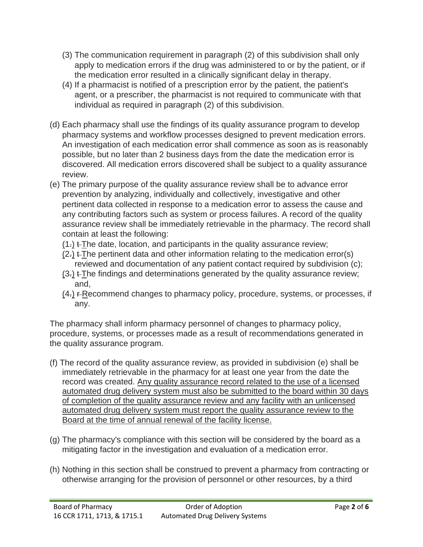- (3) The communication requirement in paragraph (2) of this subdivision shall only apply to medication errors if the drug was administered to or by the patient, or if the medication error resulted in a clinically significant delay in therapy.
- (4) If a pharmacist is notified of a prescription error by the patient, the patient's agent, or a prescriber, the pharmacist is not required to communicate with that individual as required in paragraph (2) of this subdivision.
- (d) Each pharmacy shall use the findings of its quality assurance program to develop pharmacy systems and workflow processes designed to prevent medication errors. An investigation of each medication error shall commence as soon as is reasonably possible, but no later than 2 business days from the date the medication error is discovered. All medication errors discovered shall be subject to a quality assurance review.
- (e) The primary purpose of the quality assurance review shall be to advance error prevention by analyzing, individually and collectively, investigative and other pertinent data collected in response to a medication error to assess the cause and any contributing factors such as system or process failures. A record of the quality assurance review shall be immediately retrievable in the pharmacy. The record shall contain at least the following:
	- $(1)$ .  $\pm$ The date, location, and participants in the quality assurance review;
	- $(2)$  + The pertinent data and other information relating to the medication error(s) reviewed and documentation of any patient contact required by subdivision (c);
	- $(3)$ .  $\pm$ The findings and determinations generated by the quality assurance review; and,
	- $(4)$  F-Recommend changes to pharmacy policy, procedure, systems, or processes, if any.

The pharmacy shall inform pharmacy personnel of changes to pharmacy policy, procedure, systems, or processes made as a result of recommendations generated in the quality assurance program.

- (f) The record of the quality assurance review, as provided in subdivision (e) shall be immediately retrievable in the pharmacy for at least one year from the date the record was created. Any quality assurance record related to the use of a licensed automated drug delivery system must also be submitted to the board within 30 days of completion of the quality assurance review and any facility with an unlicensed automated drug delivery system must report the quality assurance review to the Board at the time of annual renewal of the facility license.
- (g) The pharmacy's compliance with this section will be considered by the board as a mitigating factor in the investigation and evaluation of a medication error.
- (h) Nothing in this section shall be construed to prevent a pharmacy from contracting or otherwise arranging for the provision of personnel or other resources, by a third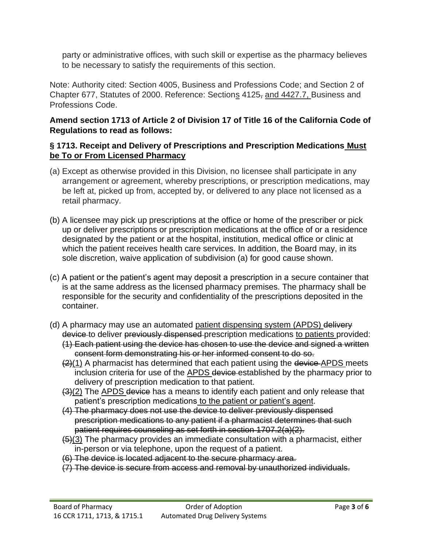party or administrative offices, with such skill or expertise as the pharmacy believes to be necessary to satisfy the requirements of this section.

Note: Authority cited: Section 4005, Business and Professions Code; and Section 2 of Chapter 677, Statutes of 2000. Reference: Sections 4125, and 4427.7, Business and Professions Code.

# **Amend section 1713 of Article 2 of Division 17 of Title 16 of the California Code of Regulations to read as follows:**

# **§ 1713. Receipt and Delivery of Prescriptions and Prescription Medications Must be To or From Licensed Pharmacy**

- (a) Except as otherwise provided in this Division, no licensee shall participate in any arrangement or agreement, whereby prescriptions, or prescription medications, may be left at, picked up from, accepted by, or delivered to any place not licensed as a retail pharmacy.
- (b) A licensee may pick up prescriptions at the office or home of the prescriber or pick up or deliver prescriptions or prescription medications at the office of or a residence designated by the patient or at the hospital, institution, medical office or clinic at which the patient receives health care services. In addition, the Board may, in its sole discretion, waive application of subdivision (a) for good cause shown.
- (c) A patient or the patient's agent may deposit a prescription in a secure container that is at the same address as the licensed pharmacy premises. The pharmacy shall be responsible for the security and confidentiality of the prescriptions deposited in the container.
- (d) A pharmacy may use an automated patient dispensing system (APDS) delivery device to deliver previously dispensed prescription medications to patients provided:
	- (1) Each patient using the device has chosen to use the device and signed a written consent form demonstrating his or her informed consent to do so.
	- $(2)(1)$  A pharmacist has determined that each patient using the device APDS meets inclusion criteria for use of the APDS device established by the pharmacy prior to delivery of prescription medication to that patient.
	- (3)(2) The APDS device has a means to identify each patient and only release that patient's prescription medications to the patient or patient's agent.
	- (4) The pharmacy does not use the device to deliver previously dispensed prescription medications to any patient if a pharmacist determines that such patient requires counseling as set forth in section 1707.2(a)(2).
	- $(5)(3)$  The pharmacy provides an immediate consultation with a pharmacist, either in-person or via telephone, upon the request of a patient.
	- (6) The device is located adjacent to the secure pharmacy area.
	- (7) The device is secure from access and removal by unauthorized individuals.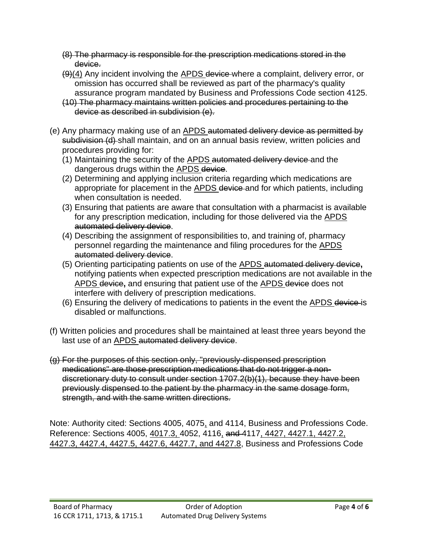- (8) The pharmacy is responsible for the prescription medications stored in the device.
- (9)(4) Any incident involving the APDS device where a complaint, delivery error, or omission has occurred shall be reviewed as part of the pharmacy's quality assurance program mandated by Business and Professions Code section 4125.
- (10) The pharmacy maintains written policies and procedures pertaining to the device as described in subdivision (e).
- (e) Any pharmacy making use of an **APDS** automated delivery device as permitted by subdivision (d) shall maintain, and on an annual basis review, written policies and procedures providing for:
	- (1) Maintaining the security of the APDS automated delivery device and the dangerous drugs within the APDS device.
	- (2) Determining and applying inclusion criteria regarding which medications are appropriate for placement in the APDS device and for which patients, including when consultation is needed.
	- (3) Ensuring that patients are aware that consultation with a pharmacist is available for any prescription medication, including for those delivered via the APDS automated delivery device.
	- (4) Describing the assignment of responsibilities to, and training of, pharmacy personnel regarding the maintenance and filing procedures for the APDS automated delivery device.
	- (5) Orienting participating patients on use of the APDS automated delivery device**,**  notifying patients when expected prescription medications are not available in the APDS device**,** and ensuring that patient use of the APDS device does not interfere with delivery of prescription medications.
	- (6) Ensuring the delivery of medications to patients in the event the APDS device is disabled or malfunctions.
- (f) Written policies and procedures shall be maintained at least three years beyond the last use of an **APDS** automated delivery device.
- (g) For the purposes of this section only, "previously-dispensed prescription medications" are those prescription medications that do not trigger a nondiscretionary duty to consult under section 1707.2(b)(1), because they have been previously dispensed to the patient by the pharmacy in the same dosage form, strength, and with the same written directions.

Note: Authority cited: Sections 4005, 4075, and 4114, Business and Professions Code. Reference: Sections 4005, 4017.3, 4052, 4116, and 4117, 4427, 4427.1, 4427.2, 4427.3, 4427.4, 4427.5, 4427.6, 4427.7, and 4427.8, Business and Professions Code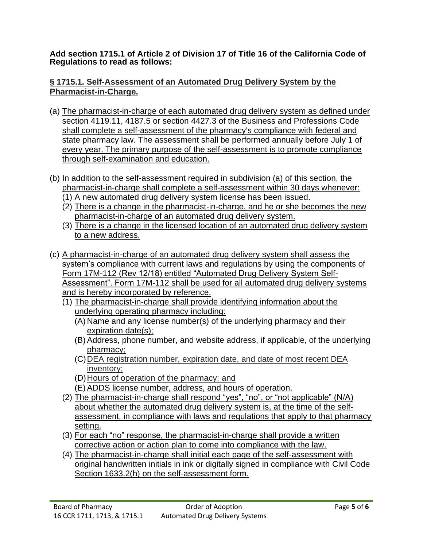**Add section 1715.1 of Article 2 of Division 17 of Title 16 of the California Code of Regulations to read as follows:**

### **§ 1715.1. Self-Assessment of an Automated Drug Delivery System by the Pharmacist-in-Charge.**

- (a) The pharmacist-in-charge of each automated drug delivery system as defined under section 4119.11, 4187.5 or section 4427.3 of the Business and Professions Code shall complete a self-assessment of the pharmacy's compliance with federal and state pharmacy law. The assessment shall be performed annually before July 1 of every year. The primary purpose of the self-assessment is to promote compliance through self-examination and education.
- (b) In addition to the self-assessment required in subdivision (a) of this section, the pharmacist-in-charge shall complete a self-assessment within 30 days whenever:
	- (1) A new automated drug delivery system license has been issued.
	- (2) There is a change in the pharmacist-in-charge, and he or she becomes the new pharmacist-in-charge of an automated drug delivery system.
	- (3) There is a change in the licensed location of an automated drug delivery system to a new address.
- (c) A pharmacist-in-charge of an automated drug delivery system shall assess the system's compliance with current laws and regulations by using the components of Form 17M-112 (Rev 12/18) entitled "Automated Drug Delivery System Self-Assessment". Form 17M-112 shall be used for all automated drug delivery systems and is hereby incorporated by reference.
	- (1) The pharmacist-in-charge shall provide identifying information about the underlying operating pharmacy including:
		- (A) Name and any license number(s) of the underlying pharmacy and their expiration date(s);
		- (B) Address, phone number, and website address, if applicable, of the underlying pharmacy;
		- (C)DEA registration number, expiration date, and date of most recent DEA inventory;
		- (D)Hours of operation of the pharmacy; and
		- (E) ADDS license number, address, and hours of operation.
	- (2) The pharmacist-in-charge shall respond "yes", "no", or "not applicable" (N/A) about whether the automated drug delivery system is, at the time of the selfassessment, in compliance with laws and regulations that apply to that pharmacy setting.
	- (3) For each "no" response, the pharmacist-in-charge shall provide a written corrective action or action plan to come into compliance with the law.
	- (4) The pharmacist-in-charge shall initial each page of the self-assessment with original handwritten initials in ink or digitally signed in compliance with Civil Code Section 1633.2(h) on the self-assessment form.